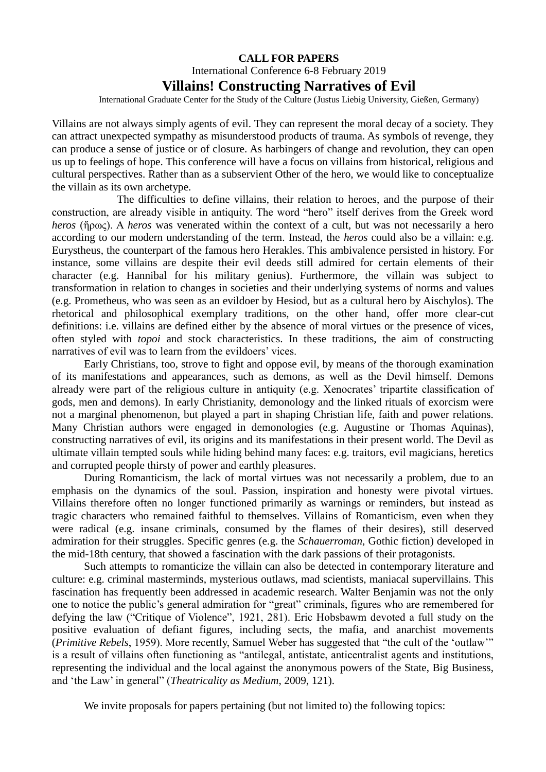## **CALL FOR PAPERS**

## International Conference 6-8 February 2019 **Villains! Constructing Narratives of Evil**

International Graduate Center for the Study of the Culture (Justus Liebig University, Gießen, Germany)

Villains are not always simply agents of evil. They can represent the moral decay of a society. They can attract unexpected sympathy as misunderstood products of trauma. As symbols of revenge, they can produce a sense of justice or of closure. As harbingers of change and revolution, they can open us up to feelings of hope. This conference will have a focus on villains from historical, religious and cultural perspectives. Rather than as a subservient Other of the hero, we would like to conceptualize the villain as its own archetype.

 The difficulties to define villains, their relation to heroes, and the purpose of their construction, are already visible in antiquity. The word "hero" itself derives from the Greek word *heros* (ἥρως). A *heros* was venerated within the context of a cult, but was not necessarily a hero according to our modern understanding of the term. Instead, the *heros* could also be a villain: e.g. Eurystheus, the counterpart of the famous hero Herakles. This ambivalence persisted in history. For instance, some villains are despite their evil deeds still admired for certain elements of their character (e.g. Hannibal for his military genius). Furthermore, the villain was subject to transformation in relation to changes in societies and their underlying systems of norms and values (e.g. Prometheus, who was seen as an evildoer by Hesiod, but as a cultural hero by Aischylos). The rhetorical and philosophical exemplary traditions, on the other hand, offer more clear-cut definitions: i.e. villains are defined either by the absence of moral virtues or the presence of vices, often styled with *topoi* and stock characteristics. In these traditions, the aim of constructing narratives of evil was to learn from the evildoers' vices.

Early Christians, too, strove to fight and oppose evil, by means of the thorough examination of its manifestations and appearances, such as demons, as well as the Devil himself. Demons already were part of the religious culture in antiquity (e.g. Xenocrates' tripartite classification of gods, men and demons). In early Christianity, demonology and the linked rituals of exorcism were not a marginal phenomenon, but played a part in shaping Christian life, faith and power relations. Many Christian authors were engaged in demonologies (e.g. Augustine or Thomas Aquinas), constructing narratives of evil, its origins and its manifestations in their present world. The Devil as ultimate villain tempted souls while hiding behind many faces: e.g. traitors, evil magicians, heretics and corrupted people thirsty of power and earthly pleasures.

During Romanticism, the lack of mortal virtues was not necessarily a problem, due to an emphasis on the dynamics of the soul. Passion, inspiration and honesty were pivotal virtues. Villains therefore often no longer functioned primarily as warnings or reminders, but instead as tragic characters who remained faithful to themselves. Villains of Romanticism, even when they were radical (e.g. insane criminals, consumed by the flames of their desires), still deserved admiration for their struggles. Specific genres (e.g. the *Schauerroman*, Gothic fiction) developed in the mid-18th century, that showed a fascination with the dark passions of their protagonists.

Such attempts to romanticize the villain can also be detected in contemporary literature and culture: e.g. criminal masterminds, mysterious outlaws, mad scientists, maniacal supervillains. This fascination has frequently been addressed in academic research. Walter Benjamin was not the only one to notice the public's general admiration for "great" criminals, figures who are remembered for defying the law ("Critique of Violence", 1921, 281). Eric Hobsbawm devoted a full study on the positive evaluation of defiant figures, including sects, the mafia, and anarchist movements (*Primitive Rebels*, 1959). More recently, Samuel Weber has suggested that "the cult of the 'outlaw'" is a result of villains often functioning as "antilegal, antistate, anticentralist agents and institutions, representing the individual and the local against the anonymous powers of the State, Big Business, and 'the Law' in general" (*Theatricality as Medium*, 2009, 121).

We invite proposals for papers pertaining (but not limited to) the following topics: